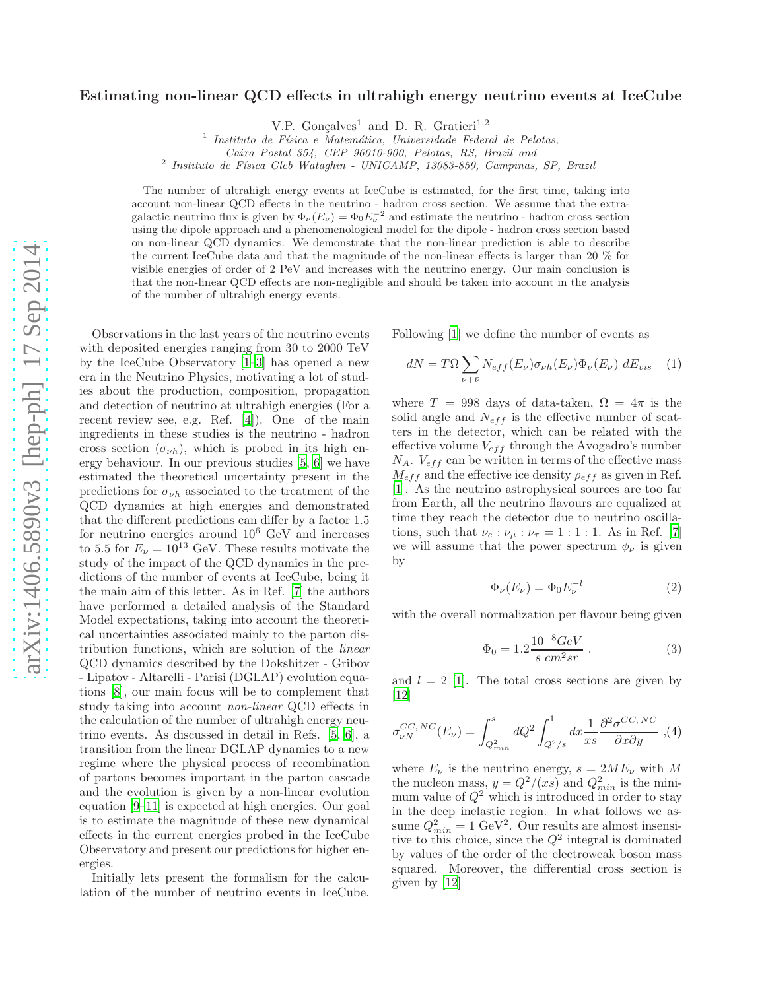## Estimating non-linear QCD effects in ultrahigh energy neutrino events at IceCube

V.P. Gonçalves<sup>1</sup> and D. R. Gratieri<sup>1,2</sup>

<sup>1</sup> Instituto de Física e Matemática, Universidade Federal de Pelotas,

Caixa Postal 354, CEP 96010-900, Pelotas, RS, Brazil and

<sup>2</sup> Instituto de Física Gleb Wataghin - UNICAMP, 13083-859, Campinas, SP, Brazil

The number of ultrahigh energy events at IceCube is estimated, for the first time, taking into account non-linear QCD effects in the neutrino - hadron cross section. We assume that the extragalactic neutrino flux is given by  $\Phi_{\nu}(E_{\nu}) = \Phi_0 E_{\nu}^{-2}$  and estimate the neutrino - hadron cross section using the dipole approach and a phenomenological model for the dipole - hadron cross section based on non-linear QCD dynamics. We demonstrate that the non-linear prediction is able to describe the current IceCube data and that the magnitude of the non-linear effects is larger than 20 % for visible energies of order of 2 PeV and increases with the neutrino energy. Our main conclusion is that the non-linear QCD effects are non-negligible and should be taken into account in the analysis of the number of ultrahigh energy events.

Observations in the last years of the neutrino events with deposited energies ranging from 30 to 2000 TeV by the IceCube Observatory [\[1](#page-3-0)[–3\]](#page-3-1) has opened a new era in the Neutrino Physics, motivating a lot of studies about the production, composition, propagation and detection of neutrino at ultrahigh energies (For a recent review see, e.g. Ref. [\[4\]](#page-3-2)). One of the main ingredients in these studies is the neutrino - hadron cross section  $(\sigma_{\nu h})$ , which is probed in its high energy behaviour. In our previous studies [\[5,](#page-4-0) [6\]](#page-4-1) we have estimated the theoretical uncertainty present in the predictions for  $\sigma_{\nu h}$  associated to the treatment of the QCD dynamics at high energies and demonstrated that the different predictions can differ by a factor 1.5 for neutrino energies around  $10^6$  GeV and increases to 5.5 for  $E_{\nu} = 10^{13}$  GeV. These results motivate the study of the impact of the QCD dynamics in the predictions of the number of events at IceCube, being it the main aim of this letter. As in Ref. [\[7](#page-4-2)] the authors have performed a detailed analysis of the Standard Model expectations, taking into account the theoretical uncertainties associated mainly to the parton distribution functions, which are solution of the linear QCD dynamics described by the Dokshitzer - Gribov - Lipatov - Altarelli - Parisi (DGLAP) evolution equations [\[8](#page-4-3)], our main focus will be to complement that study taking into account non-linear QCD effects in the calculation of the number of ultrahigh energy neutrino events. As discussed in detail in Refs. [\[5,](#page-4-0) [6](#page-4-1)], a transition from the linear DGLAP dynamics to a new regime where the physical process of recombination of partons becomes important in the parton cascade and the evolution is given by a non-linear evolution equation [\[9–](#page-4-4)[11\]](#page-4-5) is expected at high energies. Our goal is to estimate the magnitude of these new dynamical effects in the current energies probed in the IceCube Observatory and present our predictions for higher energies.

Initially lets present the formalism for the calculation of the number of neutrino events in IceCube.

Following [\[1\]](#page-3-0) we define the number of events as

<span id="page-0-0"></span>
$$
dN = T\Omega \sum_{\nu + \bar{\nu}} N_{eff}(E_{\nu}) \sigma_{\nu h}(E_{\nu}) \Phi_{\nu}(E_{\nu}) dE_{vis} \quad (1)
$$

where  $T = 998$  days of data-taken,  $\Omega = 4\pi$  is the solid angle and  $N_{eff}$  is the effective number of scatters in the detector, which can be related with the effective volume  $V_{eff}$  through the Avogadro's number  $N_A$ .  $V_{eff}$  can be written in terms of the effective mass  $M_{eff}$  and the effective ice density  $\rho_{eff}$  as given in Ref. [\[1](#page-3-0)]. As the neutrino astrophysical sources are too far from Earth, all the neutrino flavours are equalized at time they reach the detector due to neutrino oscillations, such that  $\nu_e : \nu_\mu : \nu_\tau = 1 : 1 : 1$ . As in Ref. [\[7\]](#page-4-2) we will assume that the power spectrum  $\phi_{\nu}$  is given by

<span id="page-0-1"></span>
$$
\Phi_{\nu}(E_{\nu}) = \Phi_0 E_{\nu}^{-l} \tag{2}
$$

with the overall normalization per flavour being given

$$
\Phi_0 = 1.2 \frac{10^{-8} GeV}{s \ cm^2 sr} \ . \tag{3}
$$

and  $l = 2$  [\[1](#page-3-0)]. The total cross sections are given by [\[12](#page-4-6)]

$$
\sigma_{\nu N}^{CC,\ NC}(E_{\nu}) = \int_{Q_{min}^2}^s dQ^2 \int_{Q^2/s}^1 dx \frac{1}{xs} \frac{\partial^2 \sigma^{CC,\ NC}}{\partial x \partial y}, (4)
$$

where  $E_{\nu}$  is the neutrino energy,  $s = 2ME_{\nu}$  with M the nucleon mass,  $y = Q^2/(xs)$  and  $Q_{min}^2$  is the minimum value of  $Q^2$  which is introduced in order to stay in the deep inelastic region. In what follows we assume  $Q_{min}^2 = 1$  GeV<sup>2</sup>. Our results are almost insensitive to this choice, since the  $Q^2$  integral is dominated by values of the order of the electroweak boson mass squared. Moreover, the differential cross section is given by [\[12](#page-4-6)]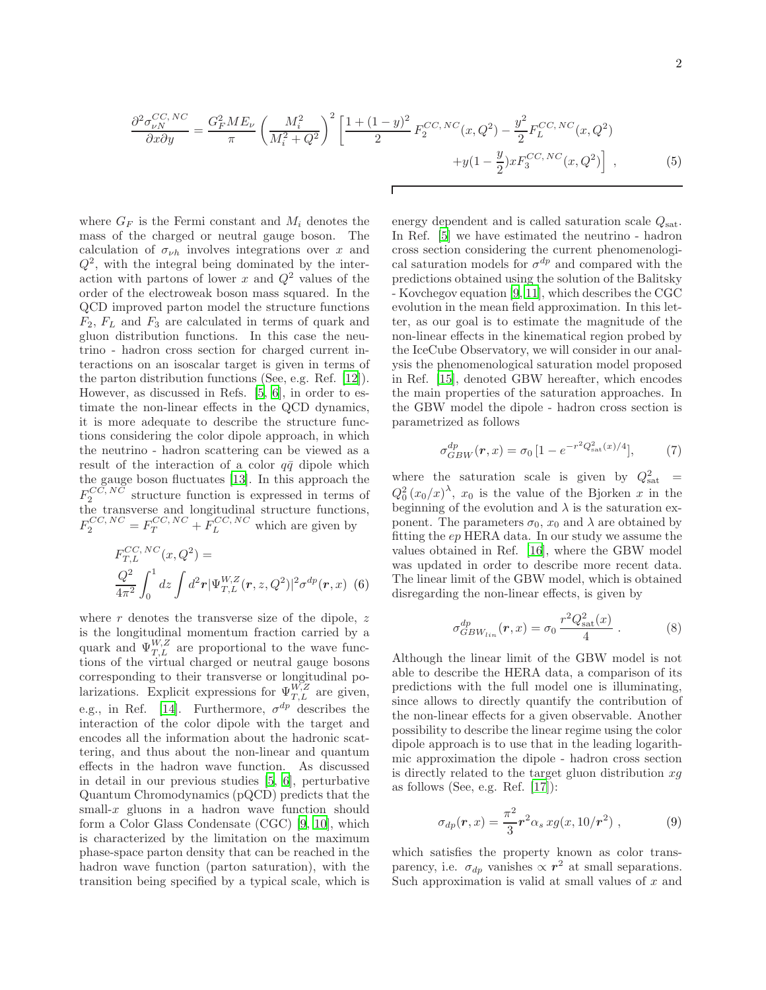$$
\frac{\partial^2 \sigma_{\nu N}^{CC, NC}}{\partial x \partial y} = \frac{G_F^2 M E_\nu}{\pi} \left( \frac{M_i^2}{M_i^2 + Q^2} \right)^2 \left[ \frac{1 + (1 - y)^2}{2} F_2^{CC, NC}(x, Q^2) - \frac{y^2}{2} F_L^{CC, NC}(x, Q^2) + y(1 - \frac{y}{2}) x F_3^{CC, NC}(x, Q^2) \right],
$$
(5)

Г

where  $G_F$  is the Fermi constant and  $M_i$  denotes the mass of the charged or neutral gauge boson. The calculation of  $\sigma_{\nu h}$  involves integrations over x and  $Q^2$ , with the integral being dominated by the interaction with partons of lower x and  $Q^2$  values of the order of the electroweak boson mass squared. In the QCD improved parton model the structure functions  $F_2, F_L$  and  $F_3$  are calculated in terms of quark and gluon distribution functions. In this case the neutrino - hadron cross section for charged current interactions on an isoscalar target is given in terms of the parton distribution functions (See, e.g. Ref. [\[12](#page-4-6)]). However, as discussed in Refs. [\[5](#page-4-0), [6\]](#page-4-1), in order to estimate the non-linear effects in the QCD dynamics, it is more adequate to describe the structure functions considering the color dipole approach, in which the neutrino - hadron scattering can be viewed as a result of the interaction of a color  $q\bar{q}$  dipole which the gauge boson fluctuates [\[13](#page-4-7)]. In this approach the  $F_2^{CC, NC}$  structure function is expressed in terms of the transverse and longitudinal structure functions,  $F_2^{CC, NC} = F_T^{CC, NC} + F_L^{CC, NC}$  which are given by

$$
F_{T,L}^{CC, NC}(x, Q^2) =
$$
  

$$
\frac{Q^2}{4\pi^2} \int_0^1 dz \int d^2 \mathbf{r} |\Psi_{T,L}^{W,Z}(\mathbf{r}, z, Q^2)|^2 \sigma^{dp}(\mathbf{r}, x)
$$
 (6)

where  $r$  denotes the transverse size of the dipole,  $z$ is the longitudinal momentum fraction carried by a quark and  $\Psi_{T,L}^{W,Z}$  are proportional to the wave functions of the virtual charged or neutral gauge bosons corresponding to their transverse or longitudinal polarizations. Explicit expressions for  $\Psi_{T,L}^{W,Z}$  are given, e.g., in Ref. [\[14\]](#page-4-8). Furthermore,  $\sigma^{dp}$  describes the interaction of the color dipole with the target and encodes all the information about the hadronic scattering, and thus about the non-linear and quantum effects in the hadron wave function. As discussed in detail in our previous studies [\[5](#page-4-0), [6](#page-4-1)], perturbative Quantum Chromodynamics (pQCD) predicts that the small- $x$  gluons in a hadron wave function should form a Color Glass Condensate (CGC) [\[9](#page-4-4), [10](#page-4-9)], which is characterized by the limitation on the maximum phase-space parton density that can be reached in the hadron wave function (parton saturation), with the transition being specified by a typical scale, which is

energy dependent and is called saturation scale  $Q_{\text{sat}}$ . In Ref. [\[5\]](#page-4-0) we have estimated the neutrino - hadron cross section considering the current phenomenological saturation models for  $\sigma^{dp}$  and compared with the predictions obtained using the solution of the Balitsky - Kovchegov equation [\[9](#page-4-4), [11](#page-4-5)], which describes the CGC evolution in the mean field approximation. In this letter, as our goal is to estimate the magnitude of the non-linear effects in the kinematical region probed by the IceCube Observatory, we will consider in our analysis the phenomenological saturation model proposed in Ref. [\[15\]](#page-4-10), denoted GBW hereafter, which encodes the main properties of the saturation approaches. In the GBW model the dipole - hadron cross section is parametrized as follows

$$
\sigma_{GBW}^{dp}(\mathbf{r},x) = \sigma_0 \left[1 - e^{-r^2 Q_{\text{sat}}^2(x)/4}\right],\tag{7}
$$

where the saturation scale is given by  $Q_{\text{sat}}^2$  =  $Q_0^2(x_0/x)^{\lambda}$ ,  $x_0$  is the value of the Bjorken x in the beginning of the evolution and  $\lambda$  is the saturation exponent. The parameters  $\sigma_0$ ,  $x_0$  and  $\lambda$  are obtained by fitting the ep HERA data. In our study we assume the values obtained in Ref. [\[16\]](#page-4-11), where the GBW model was updated in order to describe more recent data. The linear limit of the GBW model, which is obtained disregarding the non-linear effects, is given by

$$
\sigma_{GBW_{lin}}^{dp}(\bm{r},x) = \sigma_0 \, \frac{r^2 Q_{\text{sat}}^2(x)}{4} \,. \tag{8}
$$

Although the linear limit of the GBW model is not able to describe the HERA data, a comparison of its predictions with the full model one is illuminating, since allows to directly quantify the contribution of the non-linear effects for a given observable. Another possibility to describe the linear regime using the color dipole approach is to use that in the leading logarithmic approximation the dipole - hadron cross section is directly related to the target gluon distribution  $xg$ as follows (See, e.g. Ref.  $[17]$ ):

$$
\sigma_{dp}(\bm{r},x) = \frac{\pi^2}{3}\bm{r}^2\alpha_s \, x g(x, 10/\bm{r}^2) \;, \tag{9}
$$

which satisfies the property known as color transparency, i.e.  $\sigma_{dp}$  vanishes  $\propto r^2$  at small separations. Such approximation is valid at small values of  $x$  and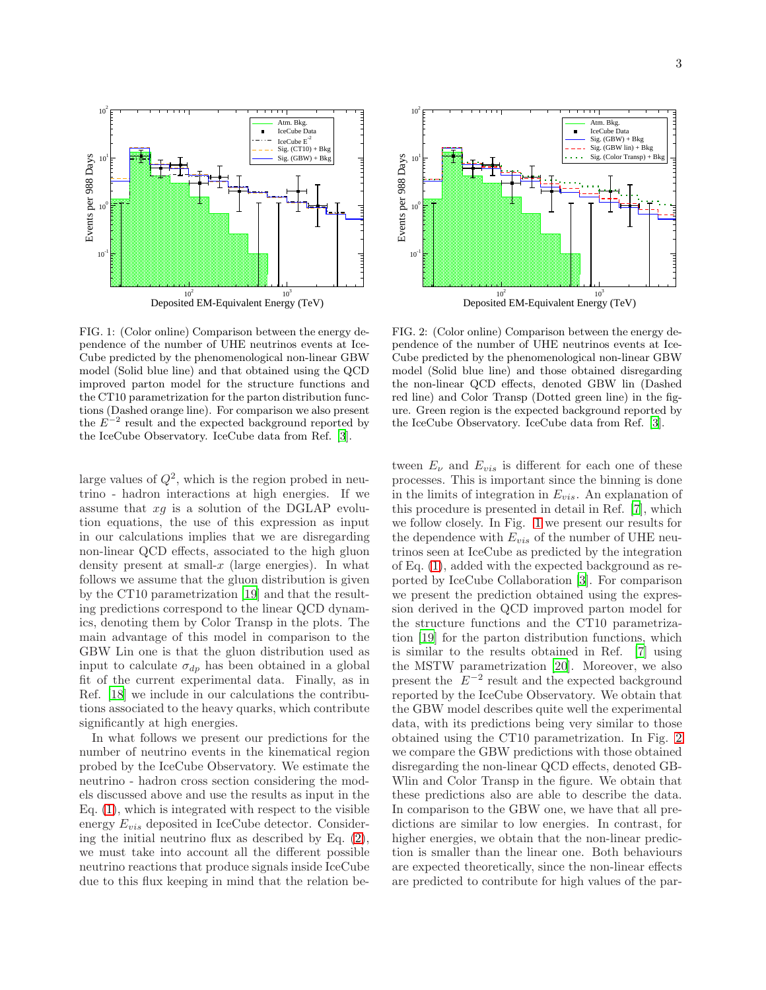

<span id="page-2-0"></span>FIG. 1: (Color online) Comparison between the energy dependence of the number of UHE neutrinos events at Ice-Cube predicted by the phenomenological non-linear GBW model (Solid blue line) and that obtained using the QCD improved parton model for the structure functions and the CT10 parametrization for the parton distribution functions (Dashed orange line). For comparison we also present the  $E^{-2}$  result and the expected background reported by the IceCube Observatory. IceCube data from Ref. [\[3](#page-3-1)].

large values of  $Q^2$ , which is the region probed in neutrino - hadron interactions at high energies. If we assume that  $xg$  is a solution of the DGLAP evolution equations, the use of this expression as input in our calculations implies that we are disregarding non-linear QCD effects, associated to the high gluon density present at small- $x$  (large energies). In what follows we assume that the gluon distribution is given by the CT10 parametrization [\[19\]](#page-4-13) and that the resulting predictions correspond to the linear QCD dynamics, denoting them by Color Transp in the plots. The main advantage of this model in comparison to the GBW Lin one is that the gluon distribution used as input to calculate  $\sigma_{dp}$  has been obtained in a global fit of the current experimental data. Finally, as in Ref. [\[18\]](#page-4-14) we include in our calculations the contributions associated to the heavy quarks, which contribute significantly at high energies.

In what follows we present our predictions for the number of neutrino events in the kinematical region probed by the IceCube Observatory. We estimate the neutrino - hadron cross section considering the models discussed above and use the results as input in the Eq. [\(1\)](#page-0-0), which is integrated with respect to the visible energy  $E_{vis}$  deposited in IceCube detector. Considering the initial neutrino flux as described by Eq. [\(2\)](#page-0-1), we must take into account all the different possible neutrino reactions that produce signals inside IceCube due to this flux keeping in mind that the relation be-



<span id="page-2-1"></span>FIG. 2: (Color online) Comparison between the energy dependence of the number of UHE neutrinos events at Ice-Cube predicted by the phenomenological non-linear GBW model (Solid blue line) and those obtained disregarding the non-linear QCD effects, denoted GBW lin (Dashed red line) and Color Transp (Dotted green line) in the figure. Green region is the expected background reported by the IceCube Observatory. IceCube data from Ref. [\[3](#page-3-1)].

tween  $E_{\nu}$  and  $E_{vis}$  is different for each one of these processes. This is important since the binning is done in the limits of integration in  $E_{vis}$ . An explanation of this procedure is presented in detail in Ref. [\[7\]](#page-4-2), which we follow closely. In Fig. [1](#page-2-0) we present our results for the dependence with  $E_{vis}$  of the number of UHE neutrinos seen at IceCube as predicted by the integration of Eq. [\(1\)](#page-0-0), added with the expected background as reported by IceCube Collaboration [\[3](#page-3-1)]. For comparison we present the prediction obtained using the expression derived in the QCD improved parton model for the structure functions and the CT10 parametrization [\[19](#page-4-13)] for the parton distribution functions, which is similar to the results obtained in Ref. [\[7](#page-4-2)] using the MSTW parametrization [\[20\]](#page-4-15). Moreover, we also present the  $E^{-2}$  result and the expected background reported by the IceCube Observatory. We obtain that the GBW model describes quite well the experimental data, with its predictions being very similar to those obtained using the CT10 parametrization. In Fig. [2](#page-2-1) we compare the GBW predictions with those obtained disregarding the non-linear QCD effects, denoted GB-Wlin and Color Transp in the figure. We obtain that these predictions also are able to describe the data. In comparison to the GBW one, we have that all predictions are similar to low energies. In contrast, for higher energies, we obtain that the non-linear prediction is smaller than the linear one. Both behaviours are expected theoretically, since the non-linear effects are predicted to contribute for high values of the par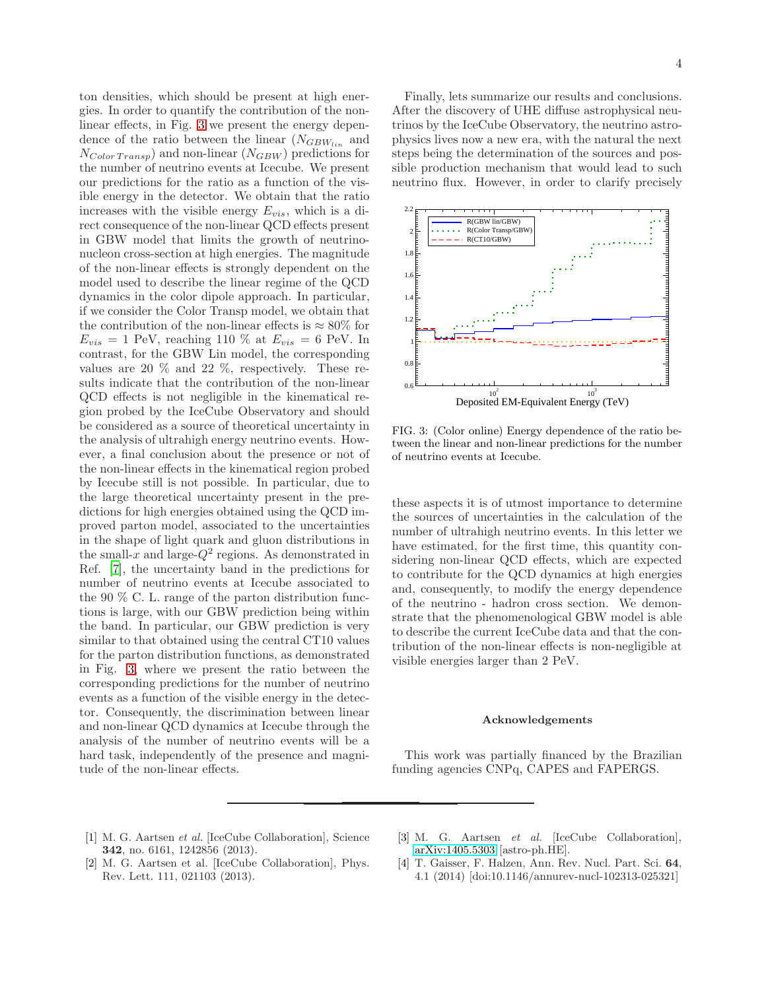ton densities, which should be present at high energies. In order to quantify the contribution of the nonlinear effects, in Fig. [3](#page-3-3) we present the energy dependence of the ratio between the linear  $(N_{GBW_{lin}}$  and  $N_{Color\,Transp})$  and non-linear  $(N_{GBW})$  predictions for the number of neutrino events at Icecube. We present our predictions for the ratio as a function of the visible energy in the detector. We obtain that the ratio increases with the visible energy  $E_{vis}$ , which is a direct consequence of the non-linear QCD effects present in GBW model that limits the growth of neutrinonucleon cross-section at high energies. The magnitude of the non-linear effects is strongly dependent on the model used to describe the linear regime of the QCD dynamics in the color dipole approach. In particular, if we consider the Color Transp model, we obtain that the contribution of the non-linear effects is  $\approx 80\%$  for  $E_{vis} = 1$  PeV, reaching 110 % at  $E_{vis} = 6$  PeV. In contrast, for the GBW Lin model, the corresponding values are 20 % and 22 %, respectively. These results indicate that the contribution of the non-linear QCD effects is not negligible in the kinematical region probed by the IceCube Observatory and should be considered as a source of theoretical uncertainty in the analysis of ultrahigh energy neutrino events. However, a final conclusion about the presence or not of the non-linear effects in the kinematical region probed by Icecube still is not possible. In particular, due to the large theoretical uncertainty present in the predictions for high energies obtained using the QCD improved parton model, associated to the uncertainties in the shape of light quark and gluon distributions in the small-x and large- $Q^2$  regions. As demonstrated in Ref. [\[7](#page-4-2)], the uncertainty band in the predictions for number of neutrino events at Icecube associated to the 90 % C. L. range of the parton distribution functions is large, with our GBW prediction being within the band. In particular, our GBW prediction is very similar to that obtained using the central CT10 values for the parton distribution functions, as demonstrated in Fig. [3,](#page-3-3) where we present the ratio between the corresponding predictions for the number of neutrino events as a function of the visible energy in the detector. Consequently, the discrimination between linear and non-linear QCD dynamics at Icecube through the analysis of the number of neutrino events will be a hard task, independently of the presence and magnitude of the non-linear effects.

Finally, lets summarize our results and conclusions. After the discovery of UHE diffuse astrophysical neutrinos by the IceCube Observatory, the neutrino astrophysics lives now a new era, with the natural the next steps being the determination of the sources and possible production mechanism that would lead to such neutrino flux. However, in order to clarify precisely



<span id="page-3-3"></span>FIG. 3: (Color online) Energy dependence of the ratio between the linear and non-linear predictions for the number of neutrino events at Icecube.

these aspects it is of utmost importance to determine the sources of uncertainties in the calculation of the number of ultrahigh neutrino events. In this letter we have estimated, for the first time, this quantity considering non-linear QCD effects, which are expected to contribute for the QCD dynamics at high energies and, consequently, to modify the energy dependence of the neutrino - hadron cross section. We demonstrate that the phenomenological GBW model is able to describe the current IceCube data and that the contribution of the non-linear effects is non-negligible at visible energies larger than 2 PeV.

## Acknowledgements

This work was partially financed by the Brazilian funding agencies CNPq, CAPES and FAPERGS.

- <span id="page-3-0"></span>[1] M. G. Aartsen et al. [IceCube Collaboration], Science 342, no. 6161, 1242856 (2013).
- <span id="page-3-1"></span>[3] M. G. Aartsen et al. [IceCube Collaboration], [arXiv:1405.5303](http://arxiv.org/abs/1405.5303) [astro-ph.HE].
- [2] M. G. Aartsen et al. [IceCube Collaboration], Phys. Rev. Lett. 111, 021103 (2013).
- <span id="page-3-2"></span>[4] T. Gaisser, F. Halzen, Ann. Rev. Nucl. Part. Sci. 64, 4.1 (2014) [doi:10.1146/annurev-nucl-102313-025321]